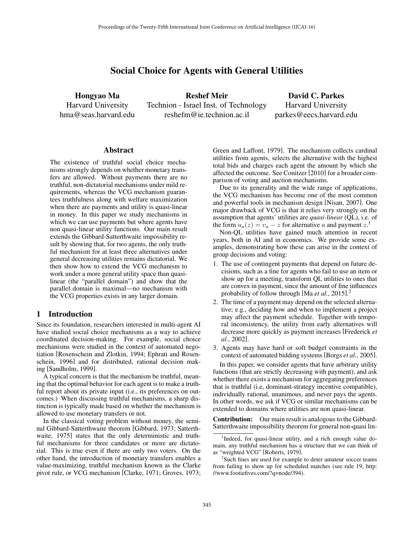# Social Choice for Agents with General Utilities

Hongyao Ma Harvard University hma@seas.harvard.edu

Reshef Meir Technion - Israel Inst. of Technology reshefm@ie.technion.ac.il

David C. Parkes Harvard University parkes@eecs.harvard.edu

### Abstract

The existence of truthful social choice mechanisms strongly depends on whether monetary transfers are allowed. Without payments there are no truthful, non-dictatorial mechanisms under mild requirements, whereas the VCG mechanism guarantees truthfulness along with welfare maximization when there are payments and utility is quasi-linear in money. In this paper we study mechanisms in which we can use payments but where agents have non quasi-linear utility functions. Our main result extends the Gibbard-Satterthwaite impossibility result by showing that, for two agents, the only truthful mechanism for at least three alternatives under general decreasing utilities remains dictatorial. We then show how to extend the VCG mechanism to work under a more general utility space than quasilinear (the "parallel domain") and show that the parallel domain is maximal—no mechanism with the VCG properties exists in any larger domain.

### 1 Introduction

Since its foundation, researchers interested in multi-agent AI have studied social choice mechanisms as a way to achieve coordinated decision-making. For example, social choice mechanisms were studied in the context of automated negotiation [Rosenschein and Zlotkin, 1994; Ephrati and Rosenschein, 1996] and for distributed, rational decision making [Sandholm, 1999].

A typical concern is that the mechanism be truthful, meaning that the optimal behavior for each agent is to make a truthful report about its private input (i.e., its preferences on outcomes.) When discussing truthful mechanisms, a sharp distinction is typically made based on whether the mechanism is allowed to use monetary transfers or not.

In the classical voting problem without money, the seminal Gibbard-Satterthwaite theorem [Gibbard, 1973; Satterthwaite, 1975] states that the only deterministic and truthful mechanisms for three candidates or more are dictatorial. This is true even if there are only two voters. On the other hand, the introduction of monetary transfers enables a value-maximizing, truthful mechanism known as the Clarke pivot rule, or VCG mechanism [Clarke, 1971; Groves, 1973; Green and Laffont, 1979]. The mechanism collects cardinal utilities from agents, selects the alternative with the highest total bids and charges each agent the amount by which she affected the outcome. See Conitzer [2010] for a broader comparison of voting and auction mechanisms.

Due to its generality and the wide range of applications, the VCG mechanism has become one of the most common and powerful tools in mechanism design [Nisan, 2007]. One major drawback of VCG is that it relies very strongly on the assumption that agents' utilities are *quasi-linear* (QL), i.e. of the form  $u_a(z) = v_a - z$  for alternative *a* and payment  $z^1$ .

Non-QL utilities have gained much attention in recent years, both in AI and in economics. We provide some examples, demonstrating how these can arise in the context of group decisions and voting:

- 1. The use of contingent payments that depend on future decisions, such as a fine for agents who fail to use an item or show up for a meeting, transform QL utilities to ones that are convex in payment, since the amount of fine influences probability of follow through [Ma *et al.*, 2015]. 2
- 2. The time of a payment may depend on the selected alternative; e.g., deciding how and when to implement a project may affect the payment schedule. Together with temporal inconsistency, the utility from early alternatives will decrease more quickly as payment increases [Frederick *et al.*, 2002].
- 3. Agents may have hard or soft budget constraints in the context of automated bidding systems [Borgs *et al.*, 2005].

In this paper, we consider agents that have arbitrary utility functions (that are strictly decreasing with payment), and ask whether there exists a mechanism for aggregating preferences that is truthful (i.e, dominant-strategy incentive compatible), individually rational, unanimous, and never pays the agents. In other words, we ask if VCG or similar mechanisms can be extended to domains where utilities are non quasi-linear.

Contribution: Our main result is analogous to the Gibbard-Satterthwaite impossibility theorem for general non-quasi lin-

<sup>&</sup>lt;sup>1</sup>Indeed, for quasi-linear utility, and a rich enough value domain, any truthful mechanism has a structure that we can think of as "weighted VCG" [Roberts, 1979].

<sup>&</sup>lt;sup>2</sup>Such fines are used for example to deter amateur soccer teams from failing to show up for scheduled matches (see rule 19, http: //www.footiefives.com/?q=node/394).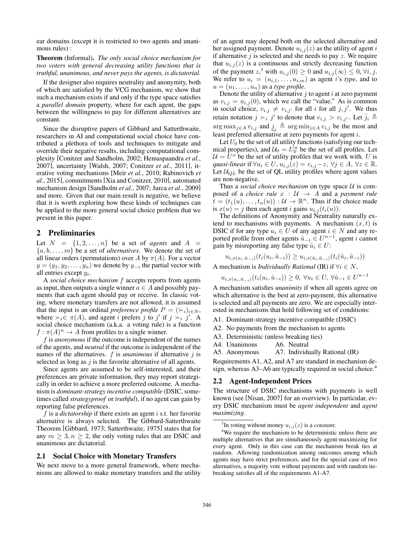ear domains (except it is restricted to two agents and unanimous rules) :

Theorem (Informal). *The only social choice mechanism for two voters with general decreasing utility functions that is truthful, unanimous, and never pays the agents, is dictatorial.*

If the designer also requires neutrality and anonymity, both of which are satisfied by the VCG mechanism, we show that such a mechanism exists if and only if the type space satisfies a *parallel domain* property, where for each agent, the gaps between the willingness to pay for different alternatives are constant.

Since the disruptive papers of Gibbard and Satterthwaite, researchers in AI and computational social choice have contributed a plethora of tools and techniques to mitigate and override their negative results, including computational complexity [Conitzer and Sandholm, 2002; Hemaspaandra *et al.*, 2007], uncertainty [Walsh, 2007; Conitzer *et al.*, 2011], iterative voting mechanisms [Meir *et al.*, 2010; Rabinovich *et al.*, 2015], commitments [Xia and Conitzer, 2010], automated mechanism design [Sandholm *et al.*, 2007; Jurca *et al.*, 2009] and more. Given that our main result is negative, we believe that it is worth exploring how these kinds of techniques can be applied to the more general social choice problem that we present in this paper.

# 2 Preliminaries

Let  $N = \{1, 2, \ldots, n\}$  be a set of *agents* and  $A =$  $\{a, b, \ldots, m\}$  be a set of *alternatives*. We denote the set of all linear orders (permutations) over *A* by  $\pi(A)$ . For a vector  $y = (y_1, y_2, \ldots, y_n)$  we denote by  $y_{-i}$  the partial vector with all entries except *yi*.

A *social choice mechanism f* accepts reports from agents as input, then outputs a single winner  $a \in A$  and possibly payments that each agent should pay or receive. In classic voting, where monetary transfers are not allowed, it is assumed that the input is an ordinal *preference profile*  $P = (\succ_i)_{i \in N}$ , where  $\succ_i \in \pi(A)$ , and agent *i* prefers *j* to *j'* if  $j \succ_i j'$ . A social choice mechanism (a.k.a. a voting rule) is a function  $f : \pi(A)^n \to A$  from profiles to a single winner.

*f* is *anonymous* if the outcome is independent of the names of the agents, and *neutral* if the outcome is independent of the names of the alternatives. *f* is *unanimous* if alternative *j* is selected as long as *j* is the favorite alternative of all agents.

Since agents are assumed to be self-interested, and their preferences are private information, they may report strategically in order to achieve a more preferred outcome. A mechanism is *dominant-strategy incentive compatible* (DSIC, sometimes called *strategyproof* or *truthful*), if no agent can gain by reporting false preferences.

*f* is a *dictatorship* if there exists an agent *i* s.t. her favorite alternative is always selected. The Gibbard-Satterthwaite Theorem [Gibbard, 1973; Satterthwaite, 1975] states that for any  $m \geq 3, n \geq 2$ , the only voting rules that are DSIC and unanimous are dictatorial.

### 2.1 Social Choice with Monetary Transfers

We next move to a more general framework, where mechanisms are allowed to make monetary transfers and the utility of an agent may depend both on the selected alternative and her assigned payment. Denote  $u_{i,j}(z)$  as the utility of agent *i* if alternative *j* is selected and she needs to pay *z*. We require that  $u_{i,j}(z)$  is a continuous and strictly decreasing function of the payment  $z^3$ , with  $u_{i,j}(0) \geq 0$  and  $u_{i,j}(\infty) \leq 0$ ,  $\forall i, j$ . We refer to  $u_i = (u_{i,1}, \ldots, u_{i,m})$  as agent *i*'s *type*, and to  $u = (u_1, \ldots, u_n)$  as a *type profile*.

Denote the utility of alternative *j* to agent *i* at zero payment as  $v_{i,j} = u_{i,j}(0)$ , which we call the "value." As is common in social choice,  $v_{i,j} \neq v_{i,j'}$  for all *i* for all *j*, *j'*. We thus retain notation  $j \succ_i j'$  to denote that  $v_{i,j} > v_{i,j'}$ . Let  $\bar{j}_i \triangleq$  $\lim_{i \to \infty} \max_{j \in A} v_{i,j}$  and  $\underline{j}_i \triangleq \arg \min_{j \in A} v_{i,j}$  be the most and least preferred alternative at zero payments for agent *i*.

Let  $U_0$  be the set of all utility functions (satisfying our technical properties), and  $U_0 = U_0^n$  be the set of all profiles. Let  $U = U<sup>n</sup>$  be the set of utility profiles that we work with. *U* is *quasi-linear* if  $\forall u_i \in U$ ,  $u_{i,j}(z) = v_{i,j} - z$ ,  $\forall j \in A$ ,  $\forall z \in \mathbb{R}$ . Let  $U_{QL}$  be the set of QL utility profiles where agent values are non-negative.

Thus a *social choice mechanism* on type space *U* is composed of a *choice rule*  $x : U \rightarrow A$  and a *payment rule*  $\mathbf{t} = (t_1(u), \ldots, t_n(u)) : \mathcal{U} \to \mathbb{R}^n$ . Thus if the choice made is  $x(u) = j$  then each agent *i* gains  $u_{i,j}(t_i(u))$ .

The definitions of Anonymity and Neutrality naturally extend to mechanisms with payments. A mechanism  $(x, t)$  is DSIC if for any type  $u_i \in U$  of any agent  $i \in N$  and any reported profile from other agents  $\hat{u}_{-i} \in U^{n-1}$ , agent *i* cannot gain by misreporting any false type  $\hat{u}_i \in U$ :

$$
u_{i,x(u_i,\hat{u}_{-i})}(t_i(u_i,\hat{u}_{-i})) \geq u_{i,x(\hat{u}_i,\hat{u}_{-i})}(t_i(\hat{u}_i,\hat{u}_{-i}))
$$

A mechanism is *Individually Rational* (IR) if  $\forall i \in N$ ,

 $u_{i,x(u_i,\hat{u}_{-i})}(t_i(u_i,\hat{u}_{-i})) \geq 0, \ \forall u_i \in U, \ \forall \hat{u}_{-i} \in U^{n-1}$ 

A mechanism satisfies *unanimity* if when all agents agree on which alternative is the best at zero-payment, this alternative is selected and all payments are zero. We are especially interested in mechanisms that hold following set of conditions:

A1. Dominant-strategy incentive compatible (DSIC)

A2. No payments from the mechanism to agents

A3. Deterministic (unless breaking ties)

A4. Unanimous A6. Neutral

A5. Anonymous A7. Individually Rational (IR)

Requirements A1, A2, and A7 are standard in mechanism design, whereas A3–A6 are typically required in social choice.<sup>4</sup>

#### 2.2 Agent-Independent Prices

The structure of DSIC mechanisms with payments is well known (see [Nisan, 2007] for an overview). In particular, every DSIC mechanism must be *agent independent* and *agent maximizing*.

<sup>&</sup>lt;sup>3</sup>In voting without money  $u_{i,j}(z)$  is a *constant*.

<sup>&</sup>lt;sup>4</sup>We require the mechanism to be deterministic unless there are multiple alternatives that are simultaneously agent-maximizing for every agent. Only in this case can the mechanism break ties at random. Allowing randomization among outcomes among which agents may have strict preferences, and for the special case of two alternatives, a majority vote without payments and with random tiebreaking satisfies all of the requirements A1-A7.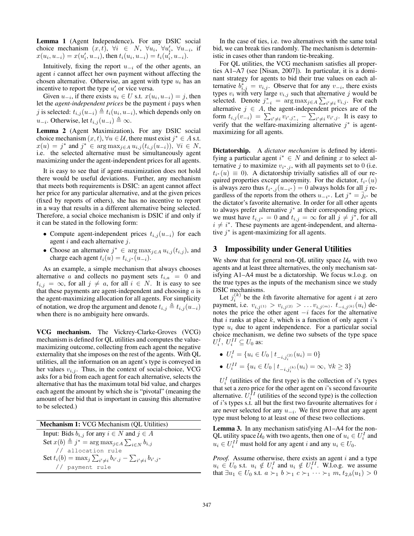Lemma 1 (Agent Independence). For any DSIC social choice mechanism  $(x, t)$ ,  $\forall i \in N$ ,  $\forall u_i$ ,  $\forall u'_i$ ,  $\forall u_{-i}$ , if  $x(u_i, u_{-i}) = x(u'_i, u_{-i})$ , then  $t_i(u_i, u_{-i}) = t_i(u'_i, u_{-i})$ .

Intuitively, fixing the report  $u_{-i}$  of the other agents, an agent *i* cannot affect her own payment without affecting the chosen alternative. Otherwise, an agent with type *u<sup>i</sup>* has an incentive to report the type  $u_i'$  or vice versa.

Given  $u_{-i}$ , if there exists  $u_i \in U$  s.t.  $x(u_i, u_{-i}) = j$ , then let the *agent-independent prices* be the payment *i* pays when *j* is selected:  $t_{i,j}(u_{-i}) \triangleq t_i(u_i, u_{-i})$ , which depends only on  $u_{-i}$ . Otherwise, let  $t_{i,j}(u_{-i}) \triangleq \infty$ .

Lemma 2 (Agent Maximization). For any DSIC social choice mechanism  $(x, t)$ ,  $\forall u \in \mathcal{U}$ , there must exist  $j^* \in A$  s.t.  $x(u) = j^*$  and  $j^* \in \arg \max_{j \in A} u_{i,j}(t_{i,j}(u_{-i})), \forall i \in N$ , i.e. the selected alternative must be simultaneously agent maximizing under the agent-independent prices for all agents.

It is easy to see that if agent-maximization does not hold there would be useful deviations. Further, any mechanism that meets both requirements is DSIC: an agent cannot affect her price for any particular alternative, and at the given prices (fixed by reports of others), she has no incentive to report in a way that results in a different alternative being selected. Therefore, a social choice mechanism is DSIC if and only if it can be stated in the following form:

- Compute agent-independent prices  $t_{i,j}(u_{-i})$  for each agent *i* and each alternative *j*.
- Choose an alternative  $j^* \in \arg \max_{j \in A} u_{i,j}(t_{i,j})$ , and charge each agent  $t_i(u) = t_{i,j} \tilde{u}(u_{-i}).$

As an example, a simple mechanism that always chooses alternative *a* and collects no payment sets  $t_{i,a} = 0$  and  $t_{i,j} = \infty$ , for all  $j \neq a$ , for all  $i \in N$ . It is easy to see that these payments are agent-independent and choosing *a* is the agent-maximizing allocation for all agents. For simplicity of notation, we drop the argument and denote  $t_{i,j} \triangleq t_{i,j} (u_{-i})$ when there is no ambiguity here onwards.

VCG mechanism. The Vickrey-Clarke-Groves (VCG) mechanism is defined for QL utilities and computes the valuemaximizing outcome, collecting from each agent the negative externality that she imposes on the rest of the agents. With QL utilities, all the information on an agent's type is conveyed in her values  $v_{i,j}$ . Thus, in the context of social-choice, VCG asks for a bid from each agent for each alternative, selects the alternative that has the maximum total bid value, and charges each agent the amount by which she is "pivotal" (meaning the amount of her bid that is important in causing this alternative to be selected.)

Mechanism 1: VCG Mechanism (QL Utilities) Input: Bids  $b_{i,j}$  for any  $i \in N$  and  $j \in A$ Set  $x(b) \triangleq j^* = \arg \max_{j \in A} \sum_{i \in N} b_{i,j}$ // allocation rule Set  $t_i(b) = \max_j \sum_{i' \neq i} b_{i',j} - \sum_{i' \neq i} b_{i',j^*}$ // payment rule

In the case of ties, i.e. two alternatives with the same total bid, we can break ties randomly. The mechanism is deterministic in cases other than random tie-breaking.

For QL utilities, the VCG mechanism satisfies all properties A1–A7 (see [Nisan, 2007]). In particular, it is a dominant strategy for agents to bid their true values on each alternative  $b^*_{i,j} = v_{i,j}$ . Observe that for any  $v_{-i}$ , there exists types  $v_i$  with very large  $v_{i,j}$  such that alternative  $j$  would be selected. Denote  $j_{-i}^* = \arg \max_{j \in A} \sum_{i' \neq i} v_{i,j}$ . For each alternative  $j \in A$ , the agent-independent prices are of the form  $t_{i,j}(v_{-i}) = \sum_{i' \neq i} v_{i',j_{-i}^*} - \sum_{i' \neq i} v_{i',j}$ . It is easy to verify that the welfare-maximizing alternative  $j^*$  is agentmaximizing for all agents.

Dictatorship. A *dictator mechanism* is defined by identifying a particular agent  $i^* \in N$  and defining *x* to select alternative *j* to maximize  $v_{i^*,j}$ , with all payments set to 0 (i.e.  $t_{i^*}(u) \equiv 0$ ). A dictatorship trivially satisfies all of our required properties except anonymity. For the dictator,  $t_{i^*}(u)$ is always zero thus  $t_{i^*,j}(u_{-i^*})=0$  always holds for all *j* regardless of the reports from the others  $u_{-i^*}$ . Let  $j^* = \overline{j}_{i^*}$  be the dictator's favorite alternative. In order for all other agents to always prefer alternative  $j^*$  at their corresponding prices, we must have  $t_{i,j^*} = 0$  and  $t_{i,j} = \infty$  for all  $j \neq j^*$ , for all  $i \neq i^*$ . These payments are agent-independent, and alternative  $j^*$  is agent-maximizing for all agents.

# 3 Impossibility under General Utilities

We show that for general non-QL utility space  $U_0$  with two agents and at least three alternatives, the only mechanism satisfying A1–A4 must be a dictatorship. We focus w.l.o.g. on the true types as the inputs of the mechanism since we study DSIC mechanisms.

Let  $j_i^{(k)}$  be the *k*th favorite alternative for agent *i* at zero payment, i.e.  $v_{i,j^{(1)}} > v_{i,j^{(2)}} > \ldots v_{i,j^{(m)}}$ .  $t_{-i,j^{(k)}}(u_i)$  denotes the price the other agent  $-i$  faces for the alternative that *i* ranks at place *k*, which is a function of only agent *i*'s type *u<sup>i</sup>* due to agent independence. For a particular social choice mechanism, we define two subsets of the type space  $U_i^I$ ,  $U_i^{II} \subseteq U_0$  as:

• 
$$
U_i^I = \{u_i \in U_0 \mid t_{-i,j_i^{(2)}}(u_i) = 0\}
$$

•  $U_i^{II} = \{u_i \in U_0 \mid t_{-i,j_i^{(k)}}(u_i) = \infty, \forall k \ge 3\}$ 

 $U_i^I$  (utilities of the first type) is the collection of *i*'s types that set a zero price for the other agent on *i*'s second favourite alternative.  $U_i^{II}$  (utilities of the second type) is the collection of *i*'s types s.t. all but the first two favourite alternatives for *i* are never selected for any  $u_{-i}$ . We first prove that any agent type must belong to at least one of these two collections.

Lemma 3. In any mechanism satisfying A1–A4 for the non-QL utility space  $\mathcal{U}_0$  with two agents, then one of  $u_i \in U_i^I$  and  $u_i \in U_i^{II}$  must hold for any agent *i* and any  $u_i \in U_0$ .

*Proof.* Assume otherwise, there exists an agent *i* and a type  $u_i \in U_0$  s.t.  $u_i \notin U_i^I$  and  $u_i \notin U_i^{II}$ . W.l.o.g. we assume that  $\exists u_1 \in U_0$  s.t.  $a \succ_1 b \succ_1 c \succ_1 \cdots \succ_1 m$ ,  $t_{2,b}(u_1) > 0$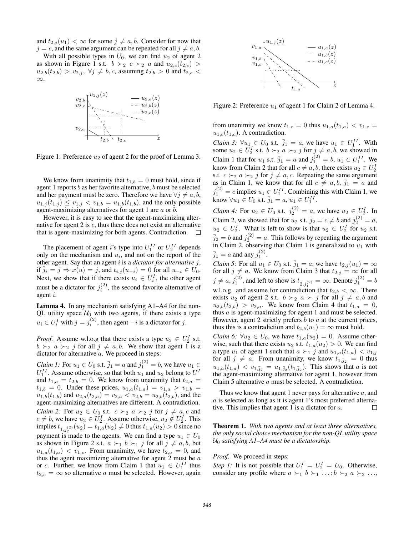and  $t_{2,j}(u_1) < \infty$  for some  $j \neq a, b$ . Consider for now that  $j = c$ , and the same argument can be repeated for all  $j \neq a, b$ .

With all possible types in  $U_0$ , we can find  $u_2$  of agent 2 as shown in Figure 1 s.t.  $b \succ_2 c \succ_2 a$  and  $u_{2,c}(t_{2,c})$  $u_{2,b}(t_{2,b}) > v_{2,j}, \ \forall j \neq b, c$ , assuming  $t_{2,b} > 0$  and  $t_{2,c} <$  $\infty$ .



Figure 1: Preference  $u_2$  of agent 2 for the proof of Lemma 3.

We know from unanimity that  $t_{1,b} = 0$  must hold, since if agent 1 reports *b* as her favorite alternative, *b* must be selected and her payment must be zero. Therefore we have  $\forall j \neq a, b$ ,  $u_{1,j}(t_{1,j}) \leq v_{1,j} < v_{1,b} = u_{1,b}(t_{1,b})$ , and the only possible agent-maximizing alternatives for agent 1 are *a* or *b*.

However, it is easy to see that the agent-maximizing alternative for agent 2 is *c*, thus there does not exist an alternative that is agent-maximizing for both agents. Contradiction.  $\square$ 

The placement of agent *i*'s type into  $U_1^{II}$  or  $U_2^{II}$  depends only on the mechanism and *ui*, and not on the report of the other agent. Say that an agent *i* is a *dictator for alternative j*, if  $j_i = j \Rightarrow x(u) = j$ , and  $t_{i,j}(u_{-i}) = 0$  for all  $u_{-i} \in U_0$ . Next, we show that if there exists  $u_i \in U_i^I$ , the other agent must be a dictator for  $j_i^{(2)}$ , the second favorite alternative of agent *i*.

Lemma 4. In any mechanism satisfying A1–A4 for the non-QL utility space  $U_0$  with two agents, if there exists a type  $u_i \in U_i^I$  with  $j = j_i^{(2)}$ , then agent  $-i$  is a dictator for *j*.

*Proof.* Assume w.l.o.g that there exists a type  $u_2 \in U_2^I$  s.t.  $b \succ_2 a \succ_2 j$  for all  $j \neq a, b$ . We show that agent 1 is a dictator for alternative *a*. We proceed in steps:

*Claim 1:* For  $u_1 \in U_0$  s.t.  $\bar{j}_1 = a$  and  $j_1^{(2)} = b$ , we have  $u_1 \in$  $U_1^{II}$ . Assume otherwise, so that both  $u_1$  and  $u_2$  belong to  $U^I$ and  $t_{1,a} = t_{2,b} = 0$ . We know from unanimity that  $t_{2,a} =$  $t_{1,b} = 0$ . Under these prices,  $u_{1,a}(t_{1,a}) = v_{1,a} > v_{1,b}$  $u_{1,b}(t_{1,b})$  and  $u_{2,a}(t_{2,a}) = v_{2,a} < v_{2,b} = u_{2,b}(t_{2,b})$ , and the agent-maximizing alternatives are different. A contradiction. *Claim 2:* For  $u_2 \in U_0$  s.t.  $c \succ_2 a \succ_2 j$  for  $j \neq a, c$  and  $c \neq b$ , we have  $u_2 \in U_2^I$ . Assume otherwise,  $u_2 \notin U_2^I$ . This  $\text{implies } t_{1,j_2^{(2)}}(u_2) = t_{1,a}(u_2) \neq 0 \text{ thus } t_{1,a}(u_2) > 0 \text{ since no}$ payment is made to the agents. We can find a type  $u_1 \in U_0$ as shown in Figure 2 s.t.  $a \succ_1 b \succ_1 j$  for all  $j \neq a, b$ , but  $u_{1,a}(t_{1,a}) < v_{1,c}$ . From unanimity, we have  $t_{2,a} = 0$ , and thus the agent maximizing alternative for agent 2 must be *a* or *c*. Further, we know from Claim 1 that  $u_1 \in U_1^{II}$  thus  $t_{2,c} = \infty$  so alternative *a* must be selected. However, again



Figure 2: Preference  $u_1$  of agent 1 for Claim 2 of Lemma 4.

from unanimity we know  $t_{1,c} = 0$  thus  $u_{1,a}(t_{1,a}) < v_{1,c}$  $u_{1,c}(t_{1,c})$ . A contradiction.

*Claim 3:*  $\forall u_1 \in U_0$  s.t.  $\bar{j}_1 = a$ , we have  $u_1 \in U_1^{II}$ . With some  $u_2 \in U_2^I$  s.t.  $b \succ_2 a \succ_2 j$  for  $j \neq a, b$ , we showed in Claim 1 that for  $u_1$  s.t.  $\bar{j}_1 = a$  and  $j_1^{(2)} = b$ ,  $u_1 \in U_1^{II}$ . We know from Claim 2 that for all  $c \neq a, b$ , there exists  $u_2 \in U_2^I$ s.t.  $c \succ_2 a \succ_2 j$  for  $j \neq a, c$ . Repeating the same argument as in Claim 1, we know that for all  $c \neq a, b, \overline{j}_1 = a$  and  $j_1^{(2)} = c$  implies  $u_1 \in U_1^{II}$ . Combining this with Claim 1, we know  $\forall u_1 \in U_0 \text{ s.t. } \bar{j}_1 = a, u_1 \in U_1^{II}$ .

*Claim 4:* For  $u_2 \in U_0$  s.t.  $j_2^{(2)} = a$ , we have  $u_2 \in U_2^I$ . In Claim 2, we showed that for  $u_2$  s.t.  $\bar{j}_2 = c \neq b$  and  $j_2^{(2)} = a$ ,  $u_2 \in U_2^I$ . What is left to show is that  $u_2 \in U_2^I$  for  $u_2$  s.t.  $\bar{j}_2 = b$  and  $j_2^{(2)} = a$ . This follows by repeating the argument in Claim 2, observing that Claim 1 is generalized to  $u_1$  with  $\bar{j}_1 = a$  and any  $j_1^{(2)}$ .

*Claim 5:* For all  $u_1 \in U_0$  s.t.  $\bar{j}_1 = a$ , we have  $t_{2,j}(u_1) = \infty$ for all  $j \neq a$ . We know from Claim 3 that  $t_{2,j} = \infty$  for all  $j \neq a, j_1^{(2)}$ , and left to show is  $t_{2,j_1^{(2)}} = \infty$ . Denote  $j_1^{(2)} = b$ w.l.o.g. and assume for contradiction that  $t_{2,b} < \infty$ . There exists  $u_2$  of agent 2 s.t.  $b \succ_2 a \succ j$  for all  $j \neq a, b$  and  $u_{2,b}(t_{2,b}) > v_{2,a}$ . We know from Claim 4 that  $t_{1,a} = 0$ , thus *a* is agent-maximizing for agent 1 and must be selected. However, agent 2 strictly prefers *b* to *a* at the current prices, thus this is a contradiction and  $t_{2,b}(u_1) = \infty$  must hold.

*Claim 6:*  $\forall u_2 \in U_0$ , we have  $t_{1,a}(u_2)=0$ . Assume otherwise, such that there exists  $u_2$  s.t.  $t_{1,a}(u_2) > 0$ . We can find a type  $u_1$  of agent 1 such that  $a \succ_1 j$  and  $u_{1,a}(t_{1,a}) < v_{1,j}$ for all  $j \neq a$ . From unanimity, we know  $t_{1,\bar{j}_2} = 0$  thus  $u_{1,a}(t_{1,a}) < v_{1,\bar{j}_2} = u_{1,\bar{j}_2}(t_{1,\bar{j}_2})$ . This shows that *a* is not the agent-maximizing alternative for agent 1, however from Claim 5 alternative *a* must be selected. A contradiction.

Thus we know that agent 1 never pays for alternative *a*, and *a* is selected as long as it is agent 1's most preferred alternative. This implies that agent 1 is a dictator for *a*.  $\Box$ 

Theorem 1. *With two agents and at least three alternatives, the only social choice mechanism for the non-QL utility space U*<sup>0</sup> *satisfying A1–A4 must be a dictatorship.*

*Proof.* We proceed in steps:

*Step 1:* It is not possible that  $U_1^I = U_2^I = U_0$ . Otherwise, consider any profile where  $a \succ_1 b \succ_1 \ldots; b \succ_2 a \succ_2 \ldots$ ,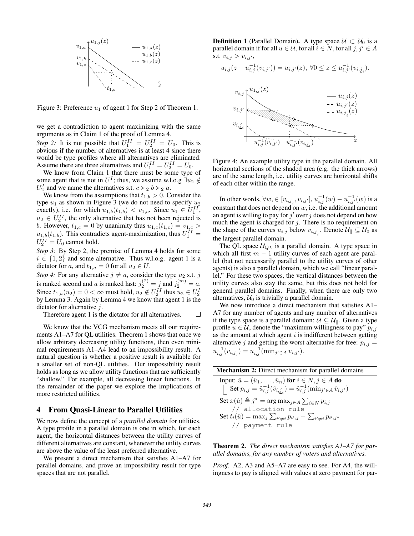

Figure 3: Preference  $u_1$  of agent 1 for Step 2 of Theorem 1.

we get a contradiction to agent maximizing with the same arguments as in Claim 1 of the proof of Lemma 4. *Step 2:* It is not possible that  $U_1^{II} = U_2^{II} = U_0$ . This is

obvious if the number of alternatives is at least 4 since there would be type profiles where all alternatives are eliminated. Assume there are three alternatives and  $U_1^{II} = U_2^{II} = U_0$ .

We know from Claim 1 that there must be some type of some agent that is not in  $U^I$ ; thus, we assume w.l.o.g  $\overrightarrow{\exists u_2} \notin$ *U*<sup>*I*</sup><sub>2</sub> and we name the alternatives s.t.  $c >_2 b >_2 a$ .

We know from the assumptions that  $t_{1,b} > 0$ . Consider the type *u*<sup>1</sup> as shown in Figure 3 (we do not need to specify *u*<sup>2</sup> exactly), i.e. for which  $u_{1,b}(t_{1,b}) < v_{1,c}$ . Since  $u_1 \in U_1^{II}$ ,  $u_2 \in U_2^{II}$ , the only alternative that has not been rejected is *b*. However,  $t_{1,c} = 0$  by unanimity thus  $u_{1,c}(t_{1,c}) = v_{1,c} > 0$  $u_{1,b}(t_{1,b})$ . This contradicts agent-maximization, thus  $U_1^{II} =$  $U_2^{II} = U_0$  cannot hold.

*Step 3:* By Step 2, the premise of Lemma 4 holds for some  $i \in \{1, 2\}$  and some alternative. Thus w.l.o.g. agent 1 is a dictator for *a*, and  $t_{1,a} = 0$  for all  $u_2 \in U$ .

*Step 4:* For any alternative  $j \neq a$ , consider the type  $u_2$  s.t. *j* is ranked second and *a* is ranked last:  $j_2^{(2)} = j$  and  $j_2^{(m)} = a$ . Since  $t_{1,a}(u_2) = 0 < \infty$  must hold,  $u_2 \notin U_2^{II}$  thus  $u_2 \in U_2^{I}$ by Lemma 3. Again by Lemma 4 we know that agent 1 is the dictator for alternative *j*.

Therefore agent 1 is the dictator for all alternatives.  $\Box$ 

We know that the VCG mechanism meets all our requirements A1–A7 for QL utilities. Theorem 1 shows that once we allow arbitrary decreasing utility functions, then even minimal requirements A1–A4 lead to an impossibility result. A natural question is whether a positive result is available for a smaller set of non-QL utilities. Our impossibility result holds as long as we allow utility functions that are sufficiently "shallow." For example, all decreasing linear functions. In the remainder of the paper we explore the implications of more restricted utilities.

## 4 From Quasi-Linear to Parallel Utilities

We now define the concept of a *parallel domain* for utilities. A type profile in a parallel domain is one in which, for each agent, the horizontal distances between the utility curves of different alternatives are constant, whenever the utility curves are above the value of the least preferred alternative.

We present a direct mechanism that satisfies A1–A7 for parallel domains, and prove an impossibility result for type spaces that are not parallel.

**Definition 1** (Parallel Domain). A type space  $U \subset U_0$  is a parallel domain if for all  $u \in \mathcal{U}$ , for all  $i \in N$ , for all  $j, j' \in A$ s.t.  $v_{i,j} > v_{i,j'}$ ,

$$
u_{i,j}(z + u_{i,j}^{-1}(v_{i,j'})) = u_{i,j'}(z), \ \forall 0 \le z \le u_{i,j'}^{-1}(v_{i,\underline{j}_i}).
$$



Figure 4: An example utility type in the parallel domain. All horizontal sections of the shaded area (e.g. the thick arrows) are of the same length, i.e. utility curves are horizontal shifts of each other within the range.

In other words,  $\forall w, \in [v_{i, \underline{j}_i}, v_{i, j'}], u_{i, j}^{-1}(w) - u_{i, j'}^{-1}(w)$  is a constant that does not depend on *w*, i.e. the additional amount an agent is willing to pay for  $j'$  over  $j$  does not depend on how much the agent is charged for  $j$ . There is no requirement on the shape of the curves  $u_{i,j}$  below  $v_{i,\underline{j}_i}$ . Denote  $\mathcal{U}_{\parallel} \subseteq \mathcal{U}_0$  as the largest parallel domain.

The QL space *UQL* is a parallel domain. A type space in which all first  $m - 1$  utility curves of each agent are parallel (but not necessarily parallel to the utility curves of other agents) is also a parallel domain, which we call "linear parallel." For these two spaces, the vertical distances between the utility curves also stay the same, but this does not hold for general parallel domains. Finally, when there are only two alternatives,  $U_0$  is trivially a parallel domain.

We now introduce a direct mechanism that satisfies A1– A7 for any number of agents and any number of alternatives if the type space is a parallel domain:  $\mathcal{U} \subseteq \mathcal{U}_{\parallel}$ . Given a type profile  $u \in \mathcal{U}$ , denote the "maximum willingness to pay"  $p_{i,j}$ as the amount at which agent *i* is indifferent between getting alternative *j* and getting the worst alternative for free:  $p_{i,j}$  =  $u_{i,j}^{-1}(v_{i,\underline{j}_i}) = u_{i,j}^{-1}(\min_{j' \in A} v_{i,j'})$ .

| <b>Mechanism 2:</b> Direct mechanism for parallel domains                                              |
|--------------------------------------------------------------------------------------------------------|
| Input: $\hat{u} = (\hat{u}_1, \dots, \hat{u}_n)$ for $i \in N, j \in A$ do                             |
| Set $p_{i,j} = \hat{u}_{i,j}^{-1}(\hat{v}_{i,j}) = \hat{u}_{i,j}^{-1}(\min_{j' \in A} \hat{v}_{i,j'})$ |
| Set $x(\hat{u}) \triangleq j^* = \arg \max_{j \in A} \sum_{i \in N} p_{i,j}$                           |
| // allocation rule                                                                                     |
| Set $t_i(\hat{u}) = \max_j \sum_{i' \neq i} p_{i',j} - \sum_{i' \neq i} p_{i',j^*}$                    |
| // payment rule                                                                                        |

Theorem 2. *The direct mechanism satisfies A1–A7 for parallel domains, for any number of voters and alternatives.*

*Proof.* A2, A3 and A5–A7 are easy to see. For A4, the willingness to pay is aligned with values at zero payment for par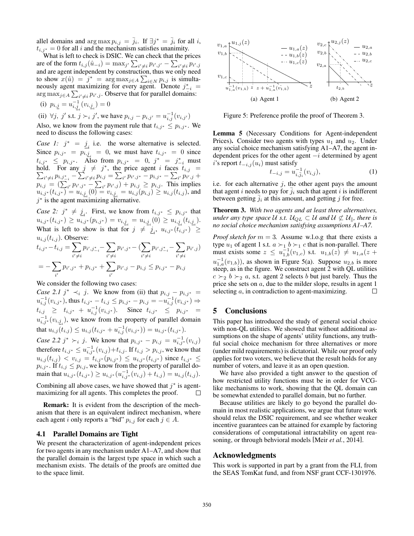allel domains and  $\arg \max p_{i,j} = \overline{j}_i$ . If  $\exists j^* = \overline{j}_i$  for all *i*,  $t_{i,j^*} = 0$  for all *i* and the mechanism satisfies unanimity.

What is left to check is DSIC. We can check that the prices are of the form  $t_{i,j}(\hat{u}_{-i}) = \max_{j'} \sum_{i' \neq i} p_{i',j'} - \sum_{i' \neq i} p_{i',j}$ and are agent independent by construction, thus we only need to show  $x(\hat{u}) = j^* = \arg \max_{j \in A} \sum_{i \in N} p_{i,j}$  is simultaneously agent maximizing for every agent. Denote  $j^*_{-i}$  = arg  $\max_{j \in A} \sum_{i' \neq i} p_{i',j}$ . Observe that for parallel domains:

(i) 
$$
p_{i,\underline{j}} = u_{i,\underline{j}_i}^{-1}(v_{i,\underline{j}_i}) = 0
$$

(ii)  $\forall j, j'$  s.t.  $j \succ_i j'$ , we have  $p_{i,j} - p_{i,j'} = u_{i,j}^{-1}(v_{i,j'})$ 

Also, we know from the payment rule that  $t_{i,j^*} \leq p_{i,j^*}$ . We need to discuss the following cases:

*Case 1:*  $j^* = j$  i.e. the worse alternative is selected. Since  $p_{i,j^*} = p_{i,j} = 0$ , we must have  $t_{i,j^*} = 0$  since  $t_{i,j^*} \leq p_{i,j^*}$ . Also from  $p_{i,j^*} = 0$ ,  $j^* = j^*_{-i}$  must hold. For any  $j \neq j^*$ , the price agent *i* faces  $t_{i,j}$  =  $\sum_{i' \neq i} p_{i,j} *_{i,j} - \sum_{i' \neq i} p_{i,j} = \sum_{i'} p_{i',j} * - p_{i,j} * - \sum_{i'} p_{i',j} *$  $p_{i,j} = (\sum_{i'} p_{i',j'} - \sum_{i'} p_{i',j}) + p_{i,j} \ge p_{i,j}.$  This implies  $u_{i,j^*}(t_{i,j^*}) = u_{i,\underline{j}_i}(0) = v_{i,\underline{j}_i} = u_{i,j}(p_{i,j}) \geq u_{i,j}(t_{i,j})$ , and  $j^*$  is the agent maximizing alternative.

*Case 2:*  $j^* \neq j_i$ . First, we know from  $t_{i,j^*} \leq p_{i,j^*}$  that  $u_{i,j^*}(t_{i,j^*}) \geq u_{i,j^*}(p_{i,j^*}) = v_{i,\underline{j}_i} = u_{i,\underline{j}_i}(0) \geq u_{i,\underline{j}_i}(t_{i,\underline{j}_i}).$ What is left to show is that for  $j \neq j_i$ ,  $u_{i,j^*}(t_{i,j^*}) \geq$  $u_{i,j}(t_{i,j})$ . Observe:  $t_{i,j^*} - t_{i,j} = \sum$  $i' \neq i$  $p_{i',j_{-i}^*}$ — $\sum$  $i' \neq i$  $p_{i',j^*}$ — ( $\sum$  $i' \neq i$  $p_{i',j_{-i}^*}$ — $\sum$  $i' \neq i$  $p_{i',j})$  $= -\sum$  $p_{i',j^*} + p_{i,j^*} + \sum$  $p_{i',j} - p_{i,j} \leq p_{i,j^*} - p_{i,j}$ 

 $i'$ 

We consider the following two cases:

 $i'$ 

*Case 2.1*  $j^* \prec_i j$ . We know from (ii) that  $p_{i,j} - p_{i,j^*} =$  $u_{i,j}^{-1}(v_{i,j^*})$ , thus  $t_{i,j^*} - t_{i,j} \leq p_{i,j^*} - p_{i,j} = -u_{i,j}^{-1}(v_{i,j^*}) \Rightarrow$  $t_{i,j} \geq t_{i,j^*} + u_{i,j}^{-1}(v_{i,j^*})$ . Since  $t_{i,j^*} \leq p_{i,j^*} =$  $u_{i,j}^{-1}(v_{i,j})$ , we know from the property of parallel domain  $\text{that } u_{i,j}(t_{i,j}) \leq u_{i,j}(t_{i,j^*} + u_{i,j}^{-1}(v_{i,j^*})) = u_{i,j^*}(t_{i,j^*}).$ 

*Case 2.2 j*<sup>\*</sup>  $\succ_i$  *j*. We know that  $p_{i,j^*} - p_{i,j} = u_{i,j^*}^{-1}(v_{i,j})$ therefore  $t_{i,j^*} \le u_{i,j^*}^{-1}(v_{i,j})+t_{i,j}.$  If  $t_{i,j} > p_{i,j}$ , we know that  $u_{i,j}(t_{i,j}) < v_{i,j} = t_{i,j^*}(p_{i,j^*}) \leq u_{i,j^*}(t_{i,j^*})$  since  $t_{i,j^*} \leq$  $p_{i,j}$ <sup>\*</sup>. If  $t_{i,j} \leq p_{i,j}$ , we know from the property of parallel domain that  $u_{i,j^*}(t_{i,j^*}) \geq u_{i,j^*}(u_{i,j^*}^{-1}(v_{i,j}) + t_{i,j}) = u_{i,j}(t_{i,j}).$ 

Combining all above cases, we have showed that  $j^*$  is agentmaximizing for all agents. This completes the proof.  $\Box$ 

Remark: It is evident from the description of the mechanism that there is an equivalent indirect mechanism, where each agent *i* only reports a "bid"  $p_{i,j}$  for each  $j \in A$ .

### 4.1 Parallel Domains are Tight

We present the characterization of agent-independent prices for two agents in any mechanism under A1–A7, and show that the parallel domain is the largest type space in which such a mechanism exists. The details of the proofs are omitted due to the space limit.



Figure 5: Preference profile the proof of Theorem 3.

Lemma 5 (Necessary Conditions for Agent-independent Prices). Consider two agents with types  $u_1$  and  $u_2$ . Under any social choice mechanism satisfying A1–A7, the agent independent prices for the other agent  $-i$  determined by agent *i*'s report  $t_{-i,j}(u_i)$  must satisfy

$$
t_{-i,j} = u_{i,\bar{j}_i}^{-1}(v_{i,j}),
$$
\n(1)

i.e. for each alternative *j*, the other agent pays the amount that agent *i* needs to pay for  $\overline{j_i}$  such that agent *i* is indifferent between getting  $j_i$  at this amount, and getting  $j$  for free.

Theorem 3. *With two agents and at least three alternatives, under any type space U s.t.*  $U_{QL} \subset U$  *and*  $U \not\subset U_{\parallel}$ *, there is no social choice mechanism satisfying assumptions A1–A7.*

*Proof sketch for*  $m = 3$ . Assume w.l.o.g that there exists a type  $u_1$  of agent 1 s.t.  $a \succ_1 b \succ_1 c$  that is non-parallel. There must exists some  $z \leq u_{1,b}^{-1}(v_{1,c})$  s.t.  $u_{1,b}(z) \neq u_{1,a}(z +$  $u_{1,a}^{-1}(v_{1,b})$ ), as shown in Figure 5(a). Suppose  $u_{2,b}$  is more steep, as in the figure. We construct agent 2 with QL utilities  $c \succ_2 b \succ_2 a$ , s.t. agent 2 selects *b* but just barely. Thus the price she sets on *a*, due to the milder slope, results in agent 1 selecting *a*, in contradiction to agent-maximizing.  $\Box$ 

# 5 Conclusions

This paper has introduced the study of general social choice with non-QL utilities. We showed that without additional assumptions on the shape of agents' utility functions, any truthful social choice mechanism for three alternatives or more (under mild requirements) is dictatorial. While our proof only applies for two voters, we believe that the result holds for any number of voters, and leave it as an open question.

We have also provided a tight answer to the question of how restricted utility functions must be in order for VCGlike mechanisms to work, showing that the QL domain can be somewhat extended to parallel domain, but no further.

Because utilities are likely to go beyond the parallel domain in most realistic applications, we argue that future work should relax the DSIC requirement, and see whether weaker incentive guarantees can be attained for example by factoring considerations of computational intractability on agent reasoning, or through behvioral models [Meir *et al.*, 2014].

#### Acknowledgments

This work is supported in part by a grant from the FLI, from the SEAS TomKat fund, and from NSF grant CCF-1301976.